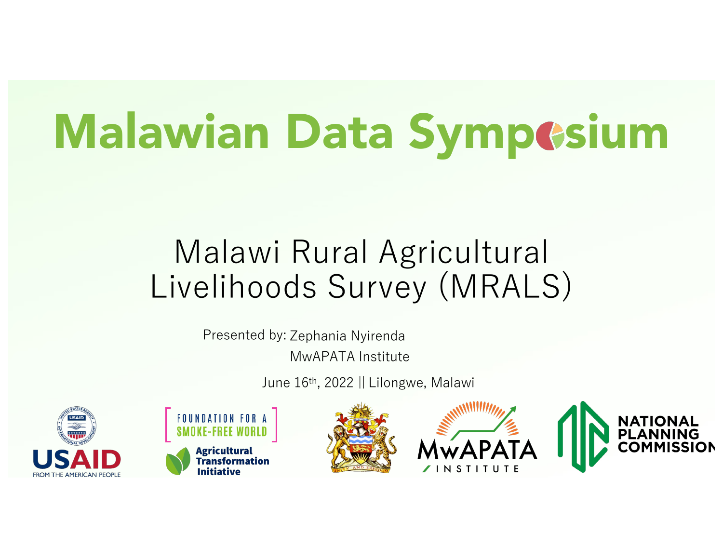# Malawian Data Sympesium

### Malawi Rural Agricultural Livelihoods Survey (MRALS)

Presented by: Zephania Nyirenda MwAPATA Institute

June 16th, 2022 || Lilongwe, Malawi







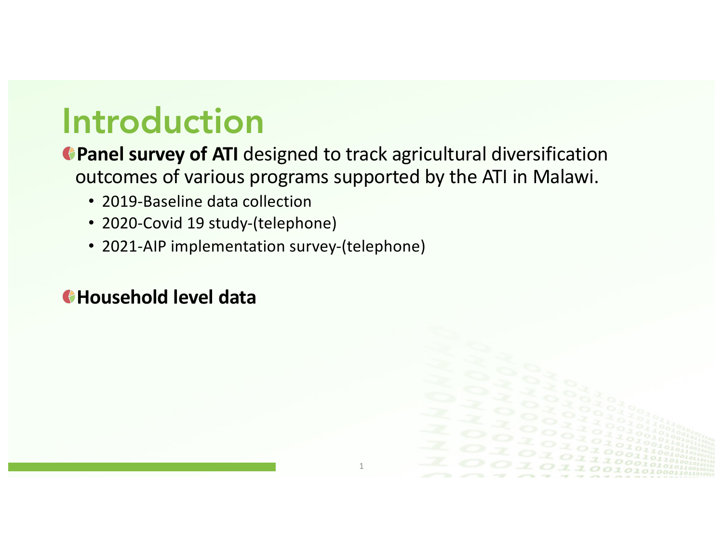### Introduction

**Panel survey of ATI** designed to track agricultural diversification outcomes of various programs supported by the ATI in Malawi.

- 2019-Baseline data collection
- 2020-Covid 19 study-(telephone)
- 2021-AIP implementation survey-(telephone)

#### **Household level data**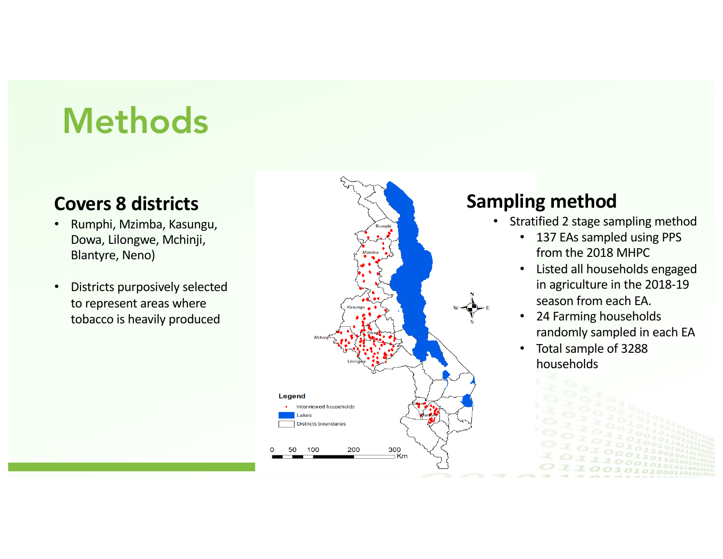# Methods

#### **Covers 8 districts**

- Rumphi, Mzimba, Kasungu, Dowa, Lilongwe, Mchinji, Blantyre, Neno)
- Districts purposively selected to represent areas where tobacco is heavily produced



#### **Sampling method**

- Stratified 2 stage sampling method
	- 137 EAs sampled using PPS from the 2018 MHPC
	- Listed all households engaged in agriculture in the 2018-19 season from each EA.
	- 24 Farming households randomly sampled in each EA
	- Total sample of 3288 households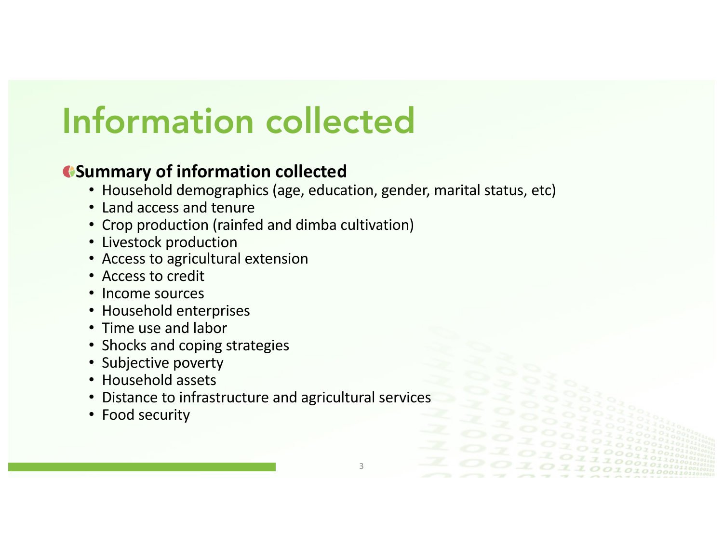# Information collected

#### **Summary of information collected**

- Household demographics (age, education, gender, marital status, etc)
- Land access and tenure
- Crop production (rainfed and dimba cultivation)
- Livestock production
- Access to agricultural extension
- Access to credit
- Income sources
- Household enterprises
- Time use and labor
- Shocks and coping strategies
- Subjective poverty
- Household assets
- Distance to infrastructure and agricultural services
- Food security

3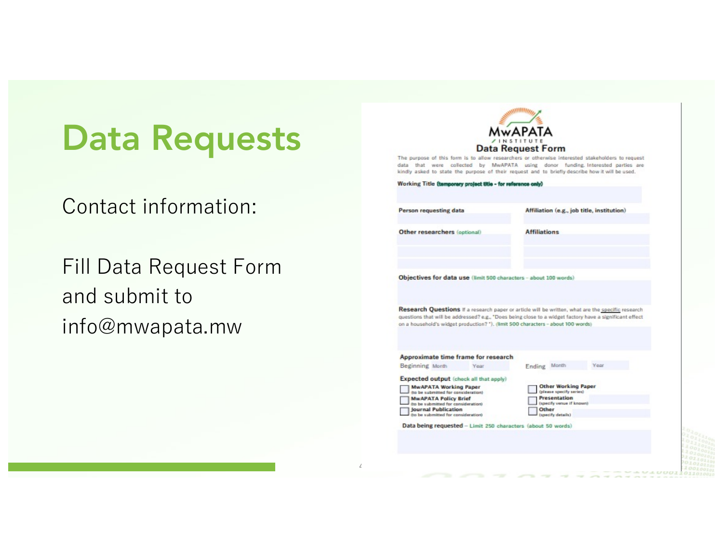## Data Requests

Contact information:

Fill Data Request Form and submit to info@mwapata.mw



4